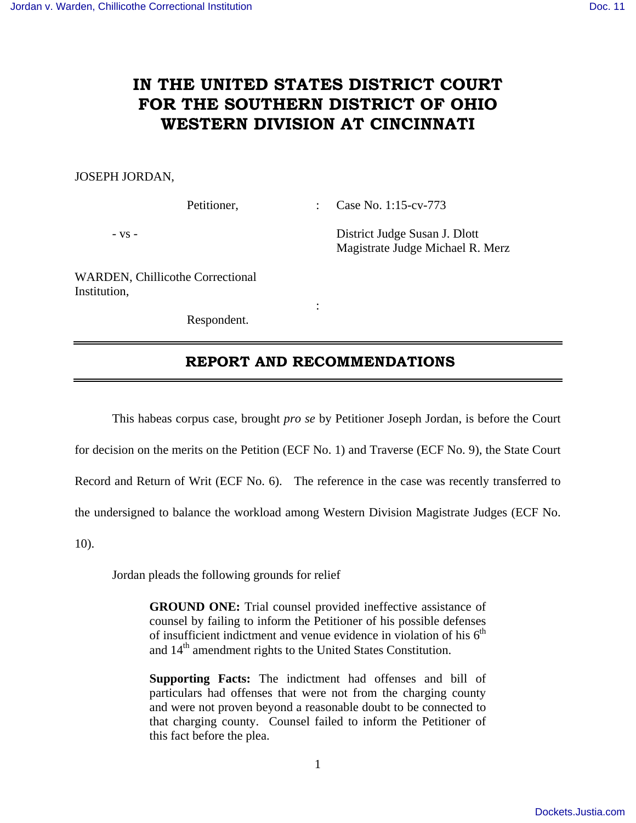# **IN THE UNITED STATES DISTRICT COURT FOR THE SOUTHERN DISTRICT OF OHIO WESTERN DIVISION AT CINCINNATI**

### JOSEPH JORDAN,

Petitioner, : Case No. 1:15-cv-773

- vs - District Judge Susan J. Dlott Magistrate Judge Michael R. Merz

WARDEN, Chillicothe Correctional Institution,

Respondent.

**Service State State State** 

### **REPORT AND RECOMMENDATIONS**

 This habeas corpus case, brought *pro se* by Petitioner Joseph Jordan, is before the Court for decision on the merits on the Petition (ECF No. 1) and Traverse (ECF No. 9), the State Court Record and Return of Writ (ECF No. 6). The reference in the case was recently transferred to the undersigned to balance the workload among Western Division Magistrate Judges (ECF No. 10).

Jordan pleads the following grounds for relief

**GROUND ONE:** Trial counsel provided ineffective assistance of counsel by failing to inform the Petitioner of his possible defenses of insufficient indictment and venue evidence in violation of his  $6<sup>th</sup>$ and 14<sup>th</sup> amendment rights to the United States Constitution.

**Supporting Facts:** The indictment had offenses and bill of particulars had offenses that were not from the charging county and were not proven beyond a reasonable doubt to be connected to that charging county. Counsel failed to inform the Petitioner of this fact before the plea.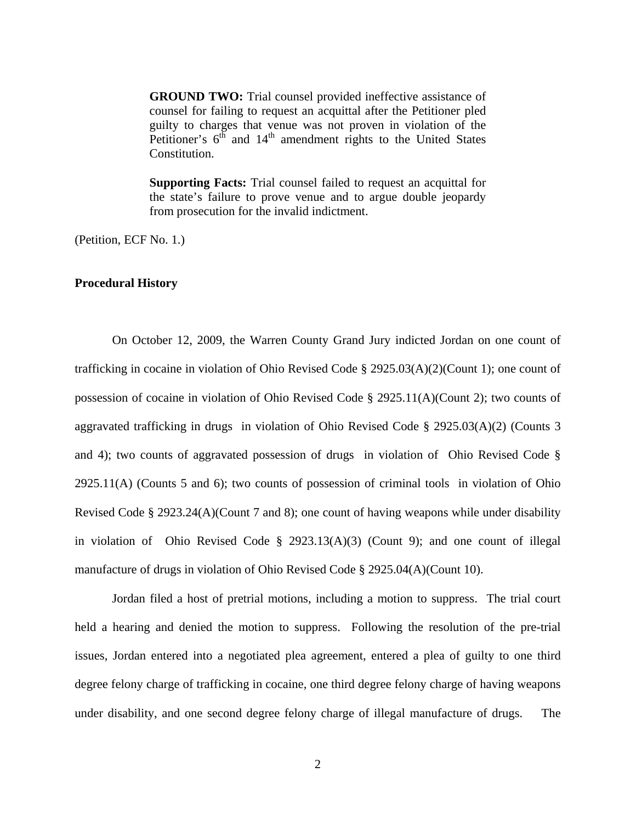**GROUND TWO:** Trial counsel provided ineffective assistance of counsel for failing to request an acquittal after the Petitioner pled guilty to charges that venue was not proven in violation of the Petitioner's  $6^{th}$  and  $14^{th}$  amendment rights to the United States Constitution.

**Supporting Facts:** Trial counsel failed to request an acquittal for the state's failure to prove venue and to argue double jeopardy from prosecution for the invalid indictment.

(Petition, ECF No. 1.)

### **Procedural History**

 On October 12, 2009, the Warren County Grand Jury indicted Jordan on one count of trafficking in cocaine in violation of Ohio Revised Code  $\S 2925.03(A)(2)(Count 1)$ ; one count of possession of cocaine in violation of Ohio Revised Code § 2925.11(A)(Count 2); two counts of aggravated trafficking in drugs in violation of Ohio Revised Code § 2925.03(A)(2) (Counts 3 and 4); two counts of aggravated possession of drugs in violation of Ohio Revised Code § 2925.11(A) (Counts 5 and 6); two counts of possession of criminal tools in violation of Ohio Revised Code § 2923.24(A)(Count 7 and 8); one count of having weapons while under disability in violation of Ohio Revised Code § 2923.13(A)(3) (Count 9); and one count of illegal manufacture of drugs in violation of Ohio Revised Code § 2925.04(A)(Count 10).

 Jordan filed a host of pretrial motions, including a motion to suppress. The trial court held a hearing and denied the motion to suppress. Following the resolution of the pre-trial issues, Jordan entered into a negotiated plea agreement, entered a plea of guilty to one third degree felony charge of trafficking in cocaine, one third degree felony charge of having weapons under disability, and one second degree felony charge of illegal manufacture of drugs. The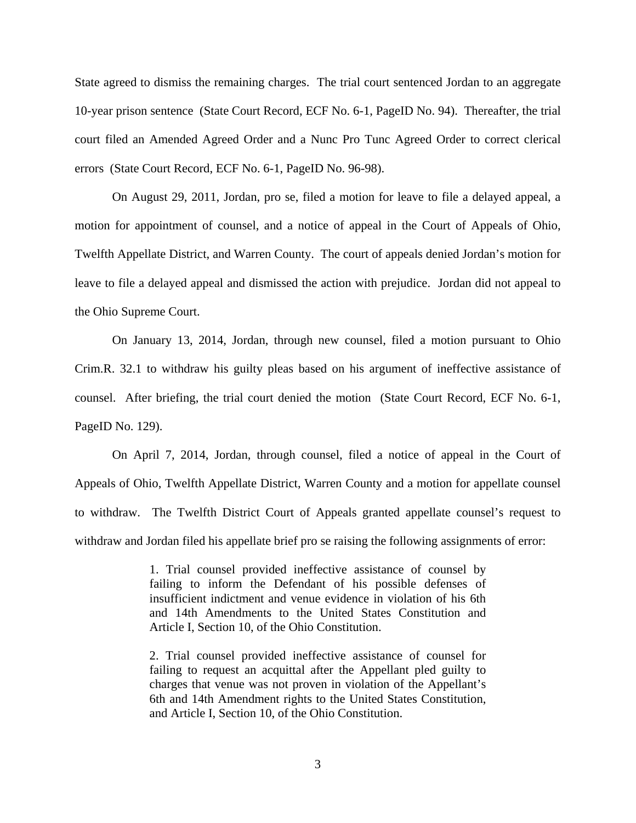State agreed to dismiss the remaining charges. The trial court sentenced Jordan to an aggregate 10-year prison sentence (State Court Record, ECF No. 6-1, PageID No. 94). Thereafter, the trial court filed an Amended Agreed Order and a Nunc Pro Tunc Agreed Order to correct clerical errors (State Court Record, ECF No. 6-1, PageID No. 96-98).

 On August 29, 2011, Jordan, pro se, filed a motion for leave to file a delayed appeal, a motion for appointment of counsel, and a notice of appeal in the Court of Appeals of Ohio, Twelfth Appellate District, and Warren County. The court of appeals denied Jordan's motion for leave to file a delayed appeal and dismissed the action with prejudice. Jordan did not appeal to the Ohio Supreme Court.

On January 13, 2014, Jordan, through new counsel, filed a motion pursuant to Ohio Crim.R. 32.1 to withdraw his guilty pleas based on his argument of ineffective assistance of counsel. After briefing, the trial court denied the motion (State Court Record, ECF No. 6-1, PageID No. 129).

On April 7, 2014, Jordan, through counsel, filed a notice of appeal in the Court of Appeals of Ohio, Twelfth Appellate District, Warren County and a motion for appellate counsel to withdraw. The Twelfth District Court of Appeals granted appellate counsel's request to withdraw and Jordan filed his appellate brief pro se raising the following assignments of error:

> 1. Trial counsel provided ineffective assistance of counsel by failing to inform the Defendant of his possible defenses of insufficient indictment and venue evidence in violation of his 6th and 14th Amendments to the United States Constitution and Article I, Section 10, of the Ohio Constitution.

> 2. Trial counsel provided ineffective assistance of counsel for failing to request an acquittal after the Appellant pled guilty to charges that venue was not proven in violation of the Appellant's 6th and 14th Amendment rights to the United States Constitution, and Article I, Section 10, of the Ohio Constitution.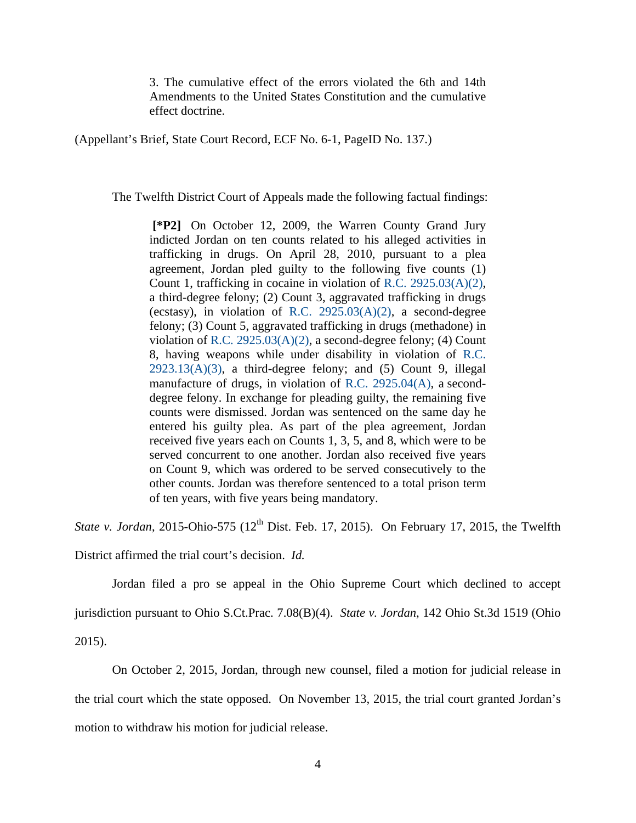3. The cumulative effect of the errors violated the 6th and 14th Amendments to the United States Constitution and the cumulative effect doctrine.

(Appellant's Brief, State Court Record, ECF No. 6-1, PageID No. 137.)

The Twelfth District Court of Appeals made the following factual findings:

**[\*P2]** On October 12, 2009, the Warren County Grand Jury indicted Jordan on ten counts related to his alleged activities in trafficking in drugs. On April 28, 2010, pursuant to a plea agreement, Jordan pled guilty to the following five counts (1) Count 1, trafficking in cocaine in violation of R.C. 2925.03(A)(2), a third-degree felony; (2) Count 3, aggravated trafficking in drugs (ecstasy), in violation of R.C.  $2925.03(A)(2)$ , a second-degree felony; (3) Count 5, aggravated trafficking in drugs (methadone) in violation of R.C. 2925.03(A)(2), a second-degree felony; (4) Count 8, having weapons while under disability in violation of R.C.  $2923.13(A)(3)$ , a third-degree felony; and (5) Count 9, illegal manufacture of drugs, in violation of R.C. 2925.04(A), a seconddegree felony. In exchange for pleading guilty, the remaining five counts were dismissed. Jordan was sentenced on the same day he entered his guilty plea. As part of the plea agreement, Jordan received five years each on Counts 1, 3, 5, and 8, which were to be served concurrent to one another. Jordan also received five years on Count 9, which was ordered to be served consecutively to the other counts. Jordan was therefore sentenced to a total prison term of ten years, with five years being mandatory.

*State v. Jordan*, 2015-Ohio-575 (12<sup>th</sup> Dist. Feb. 17, 2015). On February 17, 2015, the Twelfth

District affirmed the trial court's decision. *Id.* 

 Jordan filed a pro se appeal in the Ohio Supreme Court which declined to accept jurisdiction pursuant to Ohio S.Ct.Prac. 7.08(B)(4). *State v. Jordan*, 142 Ohio St.3d 1519 (Ohio 2015).

 On October 2, 2015, Jordan, through new counsel, filed a motion for judicial release in the trial court which the state opposed. On November 13, 2015, the trial court granted Jordan's motion to withdraw his motion for judicial release.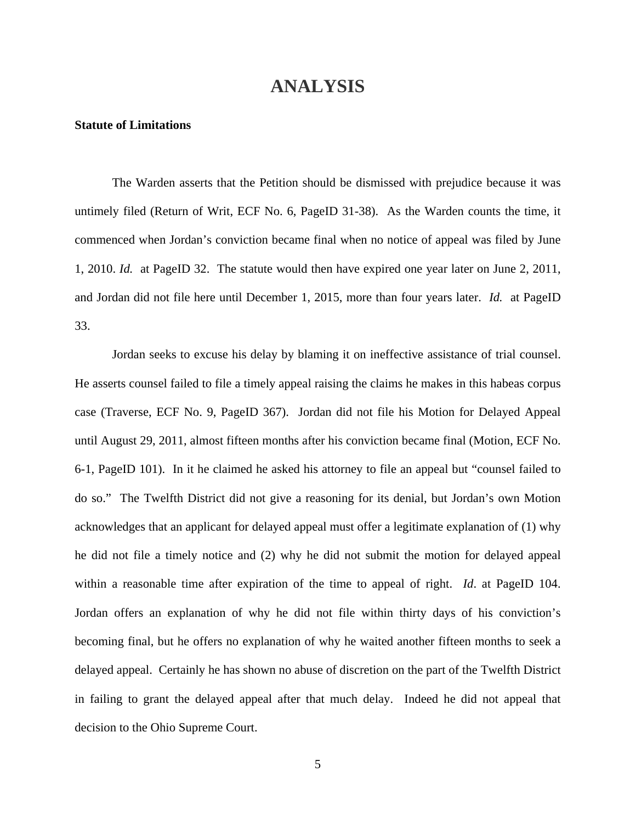## **ANALYSIS**

### **Statute of Limitations**

 The Warden asserts that the Petition should be dismissed with prejudice because it was untimely filed (Return of Writ, ECF No. 6, PageID 31-38). As the Warden counts the time, it commenced when Jordan's conviction became final when no notice of appeal was filed by June 1, 2010. *Id.* at PageID 32. The statute would then have expired one year later on June 2, 2011, and Jordan did not file here until December 1, 2015, more than four years later. *Id.* at PageID 33.

 Jordan seeks to excuse his delay by blaming it on ineffective assistance of trial counsel. He asserts counsel failed to file a timely appeal raising the claims he makes in this habeas corpus case (Traverse, ECF No. 9, PageID 367). Jordan did not file his Motion for Delayed Appeal until August 29, 2011, almost fifteen months after his conviction became final (Motion, ECF No. 6-1, PageID 101). In it he claimed he asked his attorney to file an appeal but "counsel failed to do so." The Twelfth District did not give a reasoning for its denial, but Jordan's own Motion acknowledges that an applicant for delayed appeal must offer a legitimate explanation of (1) why he did not file a timely notice and (2) why he did not submit the motion for delayed appeal within a reasonable time after expiration of the time to appeal of right. *Id*. at PageID 104. Jordan offers an explanation of why he did not file within thirty days of his conviction's becoming final, but he offers no explanation of why he waited another fifteen months to seek a delayed appeal. Certainly he has shown no abuse of discretion on the part of the Twelfth District in failing to grant the delayed appeal after that much delay. Indeed he did not appeal that decision to the Ohio Supreme Court.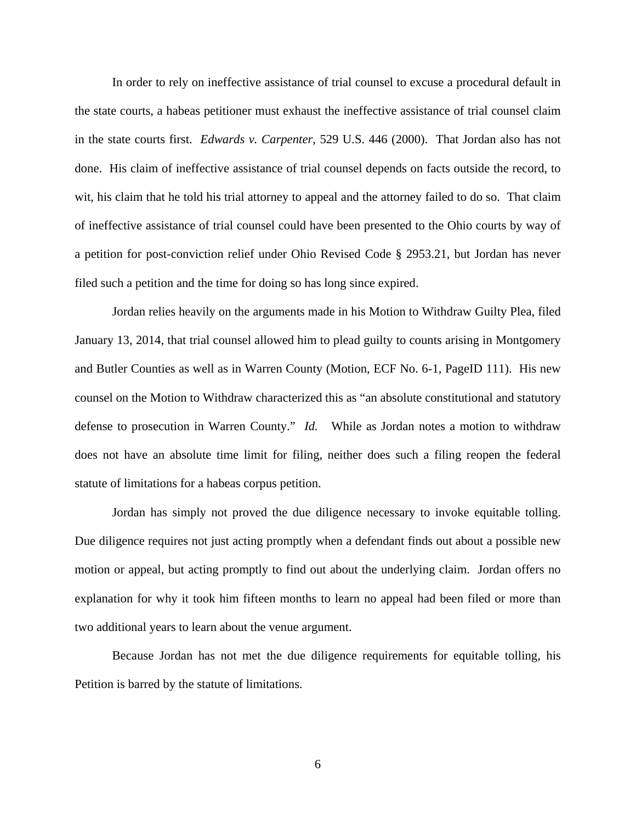In order to rely on ineffective assistance of trial counsel to excuse a procedural default in the state courts, a habeas petitioner must exhaust the ineffective assistance of trial counsel claim in the state courts first. *Edwards v. Carpenter*, 529 U.S. 446 (2000). That Jordan also has not done. His claim of ineffective assistance of trial counsel depends on facts outside the record, to wit, his claim that he told his trial attorney to appeal and the attorney failed to do so. That claim of ineffective assistance of trial counsel could have been presented to the Ohio courts by way of a petition for post-conviction relief under Ohio Revised Code § 2953.21, but Jordan has never filed such a petition and the time for doing so has long since expired.

 Jordan relies heavily on the arguments made in his Motion to Withdraw Guilty Plea, filed January 13, 2014, that trial counsel allowed him to plead guilty to counts arising in Montgomery and Butler Counties as well as in Warren County (Motion, ECF No. 6-1, PageID 111). His new counsel on the Motion to Withdraw characterized this as "an absolute constitutional and statutory defense to prosecution in Warren County." *Id.* While as Jordan notes a motion to withdraw does not have an absolute time limit for filing, neither does such a filing reopen the federal statute of limitations for a habeas corpus petition.

 Jordan has simply not proved the due diligence necessary to invoke equitable tolling. Due diligence requires not just acting promptly when a defendant finds out about a possible new motion or appeal, but acting promptly to find out about the underlying claim. Jordan offers no explanation for why it took him fifteen months to learn no appeal had been filed or more than two additional years to learn about the venue argument.

 Because Jordan has not met the due diligence requirements for equitable tolling, his Petition is barred by the statute of limitations.

6